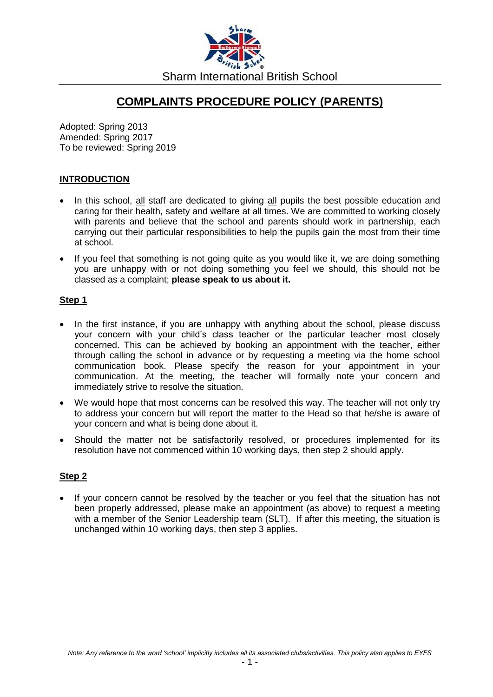

# **COMPLAINTS PROCEDURE POLICY (PARENTS)**

Adopted: Spring 2013 Amended: Spring 2017 To be reviewed: Spring 2019

### **INTRODUCTION**

- In this school, all staff are dedicated to giving all pupils the best possible education and caring for their health, safety and welfare at all times. We are committed to working closely with parents and believe that the school and parents should work in partnership, each carrying out their particular responsibilities to help the pupils gain the most from their time at school.
- If you feel that something is not going quite as you would like it, we are doing something you are unhappy with or not doing something you feel we should, this should not be classed as a complaint; **please speak to us about it.**

### **Step 1**

- In the first instance, if you are unhappy with anything about the school, please discuss your concern with your child's class teacher or the particular teacher most closely concerned. This can be achieved by booking an appointment with the teacher, either through calling the school in advance or by requesting a meeting via the home school communication book. Please specify the reason for your appointment in your communication. At the meeting, the teacher will formally note your concern and immediately strive to resolve the situation.
- We would hope that most concerns can be resolved this way. The teacher will not only try to address your concern but will report the matter to the Head so that he/she is aware of your concern and what is being done about it.
- Should the matter not be satisfactorily resolved, or procedures implemented for its resolution have not commenced within 10 working days, then step 2 should apply.

### **Step 2**

• If your concern cannot be resolved by the teacher or you feel that the situation has not been properly addressed, please make an appointment (as above) to request a meeting with a member of the Senior Leadership team (SLT). If after this meeting, the situation is unchanged within 10 working days, then step 3 applies.